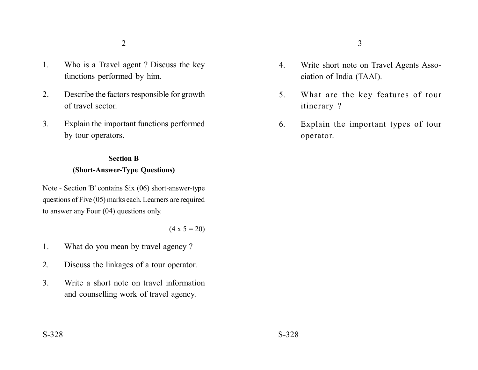- 1. Who is a Travel agent ? Discuss the key functions performed by him.
- 2. Describe the factors responsible for growth of travel sector.
- 3. Explain the important functions performed by tour operators.

## **Section B (Short-Answer-Type Questions)**

Note - Section 'B' contains Six (06) short-answer-type questions of Five (05) marks each. Learners are required to answer any Four (04) questions only.

 $(4 \times 5 = 20)$ 

- 1. What do you mean by travel agency ?
- 2. Discuss the linkages of a tour operator.
- 3. Write a short note on travel information and counselling work of travel agency.
- 4. Write short note on Travel Agents Association of India (TAAI).
- 5. What are the key features of tour itinerary ?
- 6. Explain the important types of tour operator.